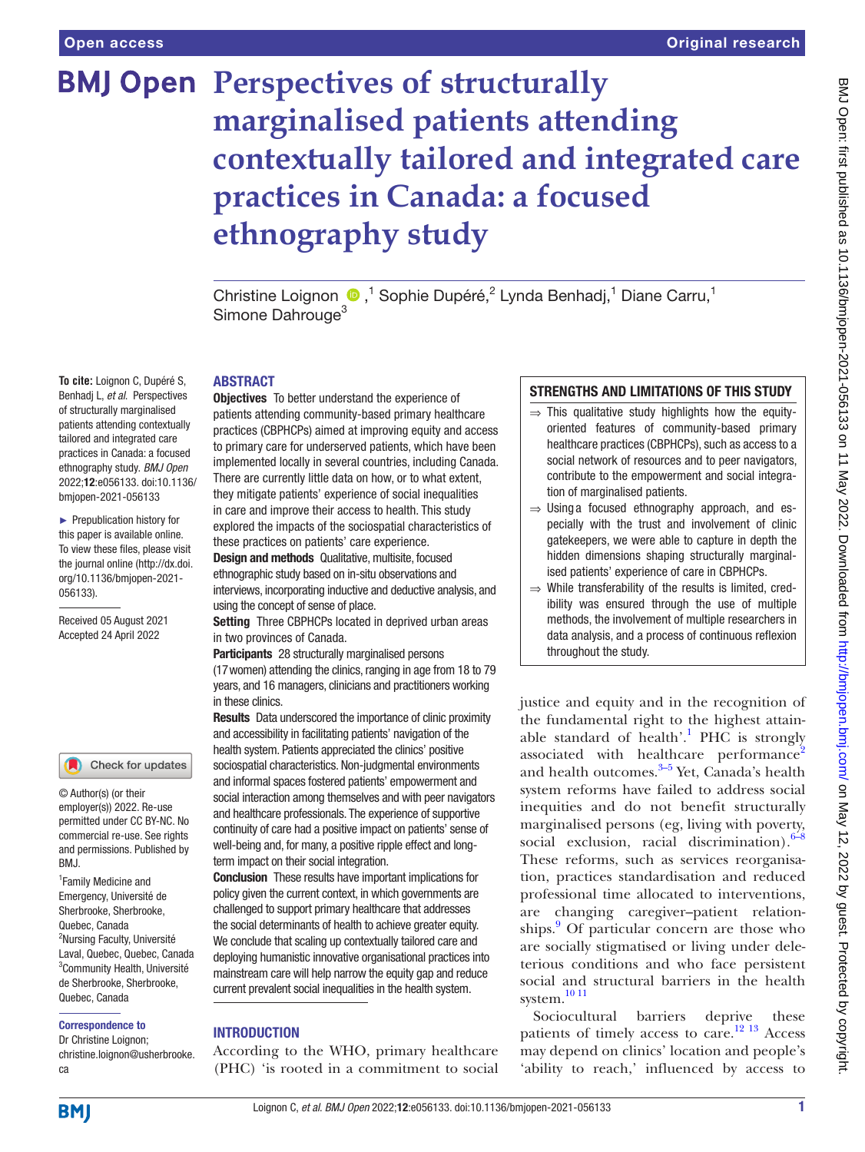# **BMJ Open Perspectives of structurally marginalised patients attending contextually tailored and integrated care practices in Canada: a focused ethnography study**

ChristineLoignon <sup>®</sup>,<sup>1</sup> Sophie Dupéré,<sup>2</sup> Lynda Benhadj,<sup>1</sup> Diane Carru,<sup>1</sup> Simone Dahrouge<sup>3</sup>

### ABSTRACT

**To cite:** Loignon C, Dupéré S, Benhadj L, *et al*. Perspectives of structurally marginalised patients attending contextually tailored and integrated care practices in Canada: a focused ethnography study. *BMJ Open* 2022;12:e056133. doi:10.1136/ bmjopen-2021-056133

► Prepublication history for this paper is available online. To view these files, please visit the journal online [\(http://dx.doi.](http://dx.doi.org/10.1136/bmjopen-2021-056133) [org/10.1136/bmjopen-2021-](http://dx.doi.org/10.1136/bmjopen-2021-056133) [056133\)](http://dx.doi.org/10.1136/bmjopen-2021-056133).

Received 05 August 2021 Accepted 24 April 2022



© Author(s) (or their employer(s)) 2022. Re-use permitted under CC BY-NC. No commercial re-use. See rights and permissions. Published by RM<sub>J</sub>

1 Family Medicine and Emergency, Université de Sherbrooke, Sherbrooke, Quebec, Canada <sup>2</sup>Nursing Faculty, Université Laval, Quebec, Quebec, Canada <sup>3</sup>Community Health, Université de Sherbrooke, Sherbrooke, Quebec, Canada

#### Correspondence to

Dr Christine Loignon; christine.loignon@usherbrooke. ca

**Objectives** To better understand the experience of patients attending community-based primary healthcare practices (CBPHCPs) aimed at improving equity and access to primary care for underserved patients, which have been implemented locally in several countries, including Canada. There are currently little data on how, or to what extent, they mitigate patients' experience of social inequalities in care and improve their access to health. This study explored the impacts of the sociospatial characteristics of these practices on patients' care experience.

Design and methods Qualitative, multisite, focused ethnographic study based on in-situ observations and interviews, incorporating inductive and deductive analysis, and using the concept of sense of place.

Setting Three CBPHCPs located in deprived urban areas in two provinces of Canada.

Participants 28 structurally marginalised persons (17women) attending the clinics, ranging in age from 18 to 79 years, and 16 managers, clinicians and practitioners working in these clinics.

Results Data underscored the importance of clinic proximity and accessibility in facilitating patients' navigation of the health system. Patients appreciated the clinics' positive sociospatial characteristics. Non-judgmental environments and informal spaces fostered patients' empowerment and social interaction among themselves and with peer navigators and healthcare professionals. The experience of supportive continuity of care had a positive impact on patients' sense of well-being and, for many, a positive ripple effect and longterm impact on their social integration.

Conclusion These results have important implications for policy given the current context, in which governments are challenged to support primary healthcare that addresses the social determinants of health to achieve greater equity. We conclude that scaling up contextually tailored care and deploying humanistic innovative organisational practices into mainstream care will help narrow the equity gap and reduce current prevalent social inequalities in the health system.

### **INTRODUCTION**

According to the WHO, primary healthcare (PHC) 'is rooted in a commitment to social

### STRENGTHS AND LIMITATIONS OF THIS STUDY

- $\Rightarrow$  This qualitative study highlights how the equityoriented features of community-based primary healthcare practices (CBPHCPs), such as access to a social network of resources and to peer navigators, contribute to the empowerment and social integration of marginalised patients.
- ⇒ Using a focused ethnography approach, and especially with the trust and involvement of clinic gatekeepers, we were able to capture in depth the hidden dimensions shaping structurally marginalised patients' experience of care in CBPHCPs.
- ⇒ While transferability of the results is limited, credibility was ensured through the use of multiple methods, the involvement of multiple researchers in data analysis, and a process of continuous reflexion throughout the study.

justice and equity and in the recognition of the fundamental right to the highest attain-able standard of health'.<sup>[1](#page-7-0)</sup> PHC is strongly associated with healthcare performance<sup>[2](#page-7-1)</sup> and health outcomes. $3-5$  Yet, Canada's health system reforms have failed to address social inequities and do not benefit structurally marginalised persons (eg, living with poverty, social exclusion, racial discrimination). $6-8$ These reforms, such as services reorganisation, practices standardisation and reduced professional time allocated to interventions, are changing caregiver–patient relation-ships.<sup>[9](#page-7-4)</sup> Of particular concern are those who are socially stigmatised or living under deleterious conditions and who face persistent social and structural barriers in the health system.<sup>[10 11](#page-7-5)</sup>

Sociocultural barriers deprive these patients of timely access to care.<sup>[12 13](#page-7-6)</sup> Access may depend on clinics' location and people's 'ability to reach,' influenced by access to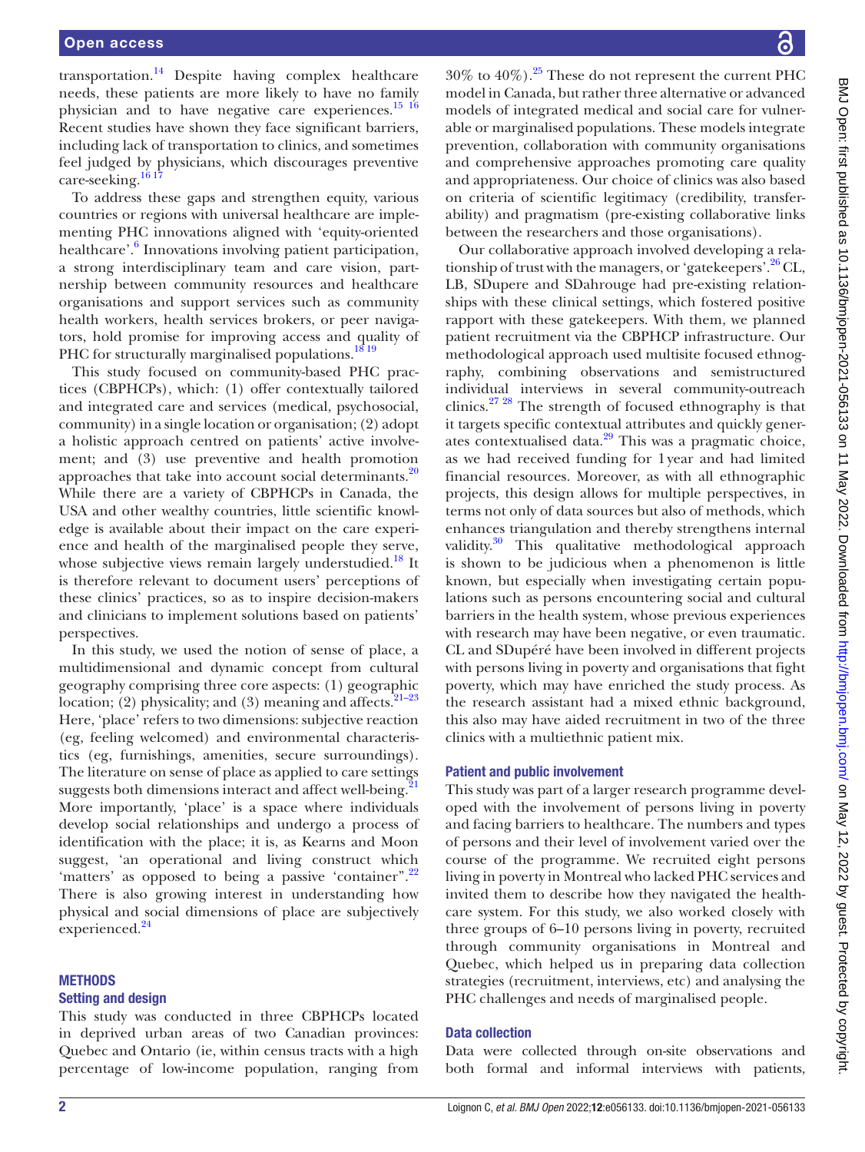transportation.[14](#page-7-7) Despite having complex healthcare needs, these patients are more likely to have no family physician and to have negative care experiences.<sup>15</sup> <sup>16</sup> Recent studies have shown they face significant barriers, including lack of transportation to clinics, and sometimes feel judged by physicians, which discourages preventive care-seeking.<sup>16</sup>

To address these gaps and strengthen equity, various countries or regions with universal healthcare are implementing PHC innovations aligned with 'equity-oriented healthcare'.<sup>6</sup> Innovations involving patient participation, a strong interdisciplinary team and care vision, partnership between community resources and healthcare organisations and support services such as community health workers, health services brokers, or peer navigators, hold promise for improving access and quality of PHC for structurally marginalised populations.<sup>1819</sup>

This study focused on community-based PHC practices (CBPHCPs), which: (1) offer contextually tailored and integrated care and services (medical, psychosocial, community) in a single location or organisation; (2) adopt a holistic approach centred on patients' active involvement; and (3) use preventive and health promotion approaches that take into account social determinants.<sup>20</sup> While there are a variety of CBPHCPs in Canada, the USA and other wealthy countries, little scientific knowledge is available about their impact on the care experience and health of the marginalised people they serve, whose subjective views remain largely understudied.<sup>18</sup> It is therefore relevant to document users' perceptions of these clinics' practices, so as to inspire decision-makers and clinicians to implement solutions based on patients' perspectives.

In this study, we used the notion of sense of place, a multidimensional and dynamic concept from cultural geography comprising three core aspects: (1) geographic location; (2) physicality; and (3) meaning and affects.  $21-23$ Here, 'place' refers to two dimensions: subjective reaction (eg, feeling welcomed) and environmental characteristics (eg, furnishings, amenities, secure surroundings). The literature on sense of place as applied to care settings suggests both dimensions interact and affect well-being.<sup>2</sup> More importantly, 'place' is a space where individuals develop social relationships and undergo a process of identification with the place; it is, as Kearns and Moon suggest, 'an operational and living construct which 'matters' as opposed to being a passive 'container".<sup>[22](#page-7-13)</sup> There is also growing interest in understanding how physical and social dimensions of place are subjectively experienced.<sup>[24](#page-7-14)</sup>

### **METHODS**

### Setting and design

This study was conducted in three CBPHCPs located in deprived urban areas of two Canadian provinces: Quebec and Ontario (ie, within census tracts with a high percentage of low-income population, ranging from

 $30\%$  to  $40\%$ ).<sup>25</sup> These do not represent the current PHC model in Canada, but rather three alternative or advanced models of integrated medical and social care for vulnerable or marginalised populations. These models integrate prevention, collaboration with community organisations and comprehensive approaches promoting care quality and appropriateness. Our choice of clinics was also based on criteria of scientific legitimacy (credibility, transferability) and pragmatism (pre-existing collaborative links between the researchers and those organisations).

Our collaborative approach involved developing a rela-tionship of trust with the managers, or 'gatekeepers'.<sup>[26](#page-7-16)</sup> CL, LB, SDupere and SDahrouge had pre-existing relationships with these clinical settings, which fostered positive rapport with these gatekeepers. With them, we planned patient recruitment via the CBPHCP infrastructure. Our methodological approach used multisite focused ethnography, combining observations and semistructured individual interviews in several community-outreach clinics.[27 28](#page-7-17) The strength of focused ethnography is that it targets specific contextual attributes and quickly generates contextualised data.[29](#page-7-18) This was a pragmatic choice, as we had received funding for 1year and had limited financial resources. Moreover, as with all ethnographic projects, this design allows for multiple perspectives, in terms not only of data sources but also of methods, which enhances triangulation and thereby strengthens internal validity. $30$  This qualitative methodological approach is shown to be judicious when a phenomenon is little known, but especially when investigating certain populations such as persons encountering social and cultural barriers in the health system, whose previous experiences with research may have been negative, or even traumatic. CL and SDupéré have been involved in different projects with persons living in poverty and organisations that fight poverty, which may have enriched the study process. As the research assistant had a mixed ethnic background, this also may have aided recruitment in two of the three clinics with a multiethnic patient mix.

### Patient and public involvement

This study was part of a larger research programme developed with the involvement of persons living in poverty and facing barriers to healthcare. The numbers and types of persons and their level of involvement varied over the course of the programme. We recruited eight persons living in poverty in Montreal who lacked PHC services and invited them to describe how they navigated the healthcare system. For this study, we also worked closely with three groups of 6–10 persons living in poverty, recruited through community organisations in Montreal and Quebec, which helped us in preparing data collection strategies (recruitment, interviews, etc) and analysing the PHC challenges and needs of marginalised people.

### Data collection

Data were collected through on-site observations and both formal and informal interviews with patients,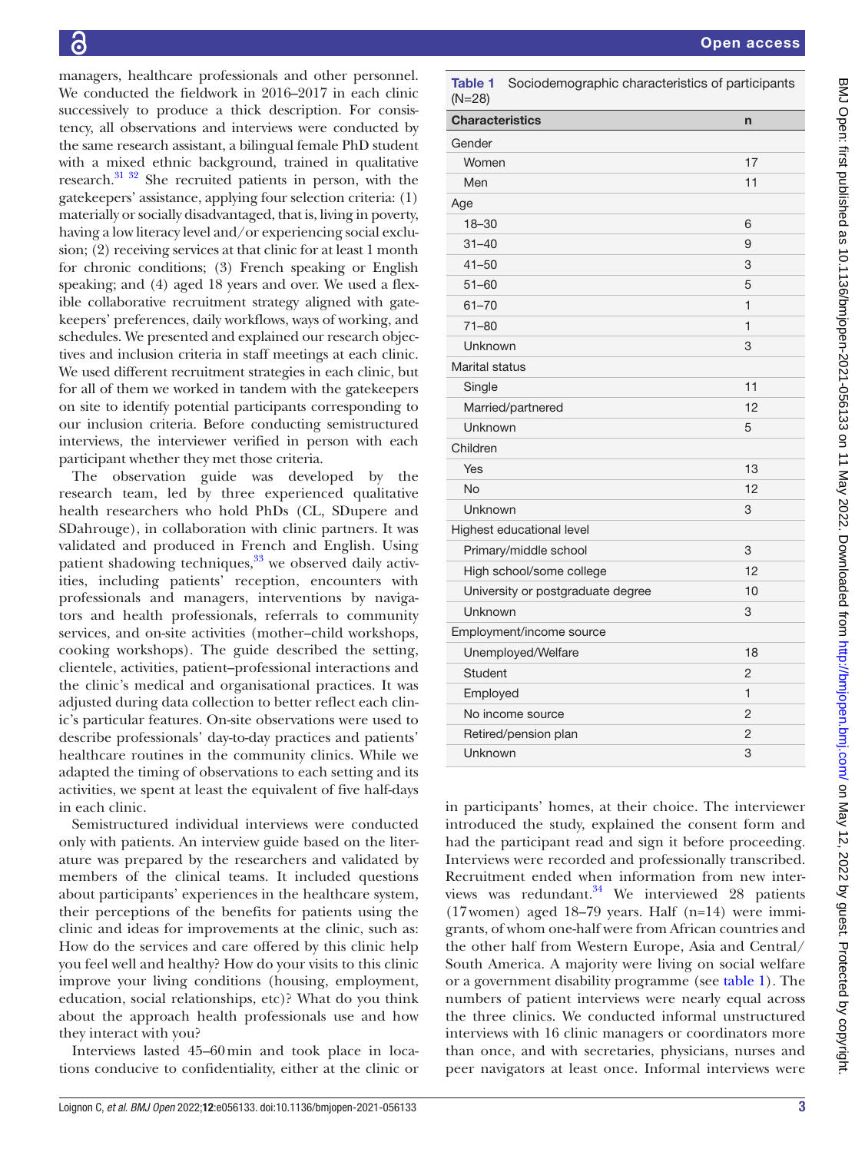managers, healthcare professionals and other personnel. We conducted the fieldwork in 2016–2017 in each clinic successively to produce a thick description. For consistency, all observations and interviews were conducted by the same research assistant, a bilingual female PhD student with a mixed ethnic background, trained in qualitative research.<sup>[31 32](#page-7-20)</sup> She recruited patients in person, with the gatekeepers' assistance, applying four selection criteria: (1) materially or socially disadvantaged, that is, living in poverty, having a low literacy level and/or experiencing social exclusion; (2) receiving services at that clinic for at least 1 month for chronic conditions; (3) French speaking or English speaking; and (4) aged 18 years and over. We used a flexible collaborative recruitment strategy aligned with gatekeepers' preferences, daily workflows, ways of working, and schedules. We presented and explained our research objectives and inclusion criteria in staff meetings at each clinic. We used different recruitment strategies in each clinic, but for all of them we worked in tandem with the gatekeepers on site to identify potential participants corresponding to our inclusion criteria. Before conducting semistructured interviews, the interviewer verified in person with each participant whether they met those criteria.

The observation guide was developed by the research team, led by three experienced qualitative health researchers who hold PhDs (CL, SDupere and SDahrouge), in collaboration with clinic partners. It was validated and produced in French and English. Using patient shadowing techniques, $33$  we observed daily activities, including patients' reception, encounters with professionals and managers, interventions by navigators and health professionals, referrals to community services, and on-site activities (mother–child workshops, cooking workshops). The guide described the setting, clientele, activities, patient–professional interactions and the clinic's medical and organisational practices. It was adjusted during data collection to better reflect each clinic's particular features. On-site observations were used to describe professionals' day-to-day practices and patients' healthcare routines in the community clinics. While we adapted the timing of observations to each setting and its activities, we spent at least the equivalent of five half-days in each clinic.

Semistructured individual interviews were conducted only with patients. An interview guide based on the literature was prepared by the researchers and validated by members of the clinical teams. It included questions about participants' experiences in the healthcare system, their perceptions of the benefits for patients using the clinic and ideas for improvements at the clinic, such as: How do the services and care offered by this clinic help you feel well and healthy? How do your visits to this clinic improve your living conditions (housing, employment, education, social relationships, etc)? What do you think about the approach health professionals use and how they interact with you?

Interviews lasted 45–60min and took place in locations conducive to confidentiality, either at the clinic or <span id="page-2-0"></span>Table 1 Sociodemographic characteristics of participants (N=28)

| <b>Characteristics</b>            | $\mathsf{n}$   |
|-----------------------------------|----------------|
| Gender                            |                |
| Women                             | 17             |
| Men                               | 11             |
| Age                               |                |
| $18 - 30$                         | 6              |
| $31 - 40$                         | 9              |
| $41 - 50$                         | 3              |
| $51 - 60$                         | 5              |
| $61 - 70$                         | 1              |
| $71 - 80$                         | 1              |
| Unknown                           | 3              |
| <b>Marital status</b>             |                |
| Single                            | 11             |
| Married/partnered                 | 12             |
| Unknown                           | 5              |
| Children                          |                |
| Yes                               | 13             |
| <b>No</b>                         | 12             |
| Unknown                           | 3              |
| Highest educational level         |                |
| Primary/middle school             | 3              |
| High school/some college          | 12             |
| University or postgraduate degree | 10             |
| Unknown                           | 3              |
| Employment/income source          |                |
| Unemployed/Welfare                | 18             |
| Student                           | $\overline{2}$ |
| Employed                          | 1              |
| No income source                  | $\overline{2}$ |
| Retired/pension plan              | 2              |
| Unknown                           | 3              |

in participants' homes, at their choice. The interviewer introduced the study, explained the consent form and had the participant read and sign it before proceeding. Interviews were recorded and professionally transcribed. Recruitment ended when information from new interviews was redundant. $34$  We interviewed 28 patients (17women) aged 18–79 years. Half (n=14) were immigrants, of whom one-half were from African countries and the other half from Western Europe, Asia and Central/ South America. A majority were living on social welfare or a government disability programme (see [table](#page-2-0) 1). The numbers of patient interviews were nearly equal across the three clinics. We conducted informal unstructured interviews with 16 clinic managers or coordinators more than once, and with secretaries, physicians, nurses and peer navigators at least once. Informal interviews were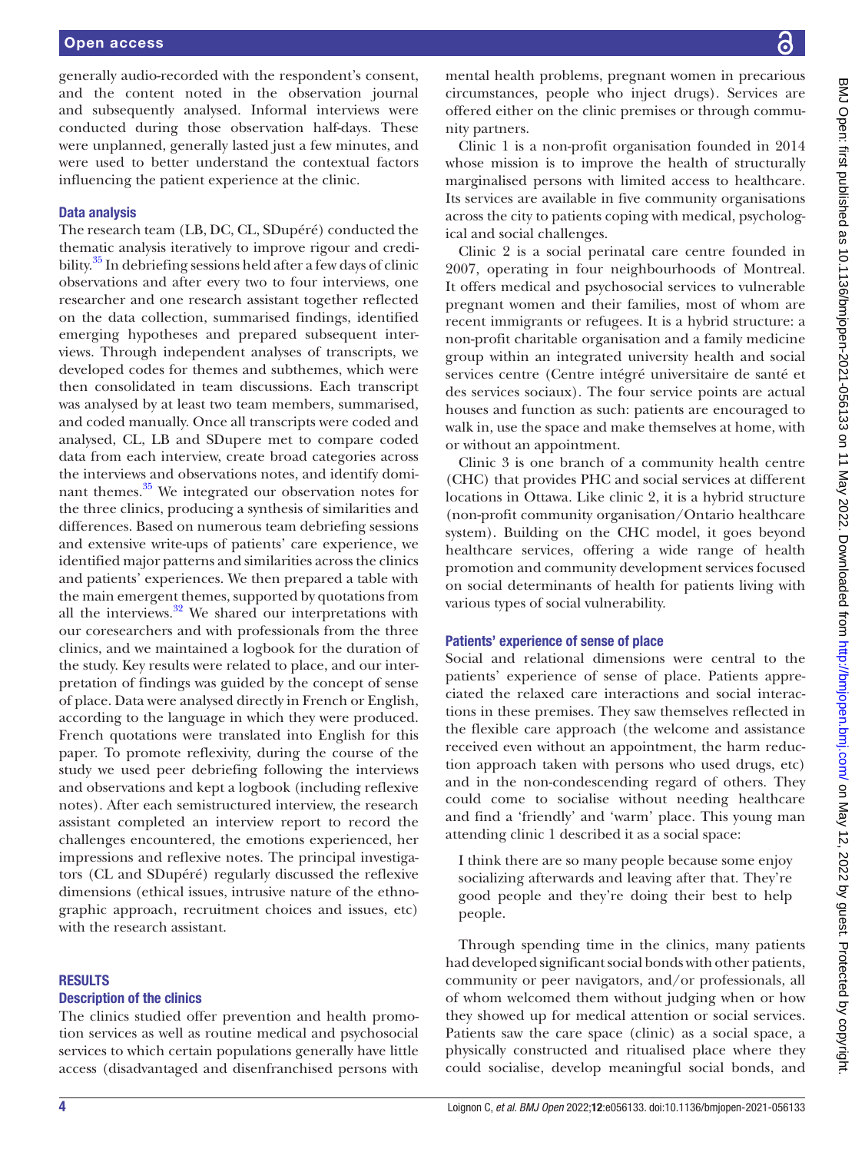generally audio-recorded with the respondent's consent, and the content noted in the observation journal and subsequently analysed. Informal interviews were conducted during those observation half-days. These were unplanned, generally lasted just a few minutes, and were used to better understand the contextual factors influencing the patient experience at the clinic.

### Data analysis

The research team (LB, DC, CL, SDupéré) conducted the thematic analysis iteratively to improve rigour and credibility.<sup>35</sup> In debriefing sessions held after a few days of clinic observations and after every two to four interviews, one researcher and one research assistant together reflected on the data collection, summarised findings, identified emerging hypotheses and prepared subsequent interviews. Through independent analyses of transcripts, we developed codes for themes and subthemes, which were then consolidated in team discussions. Each transcript was analysed by at least two team members, summarised, and coded manually. Once all transcripts were coded and analysed, CL, LB and SDupere met to compare coded data from each interview, create broad categories across the interviews and observations notes, and identify dominant themes.[35](#page-7-23) We integrated our observation notes for the three clinics, producing a synthesis of similarities and differences. Based on numerous team debriefing sessions and extensive write-ups of patients' care experience, we identified major patterns and similarities across the clinics and patients' experiences. We then prepared a table with the main emergent themes, supported by quotations from all the interviews. $32$  We shared our interpretations with our coresearchers and with professionals from the three clinics, and we maintained a logbook for the duration of the study. Key results were related to place, and our interpretation of findings was guided by the concept of sense of place. Data were analysed directly in French or English, according to the language in which they were produced. French quotations were translated into English for this paper. To promote reflexivity, during the course of the study we used peer debriefing following the interviews and observations and kept a logbook (including reflexive notes). After each semistructured interview, the research assistant completed an interview report to record the challenges encountered, the emotions experienced, her impressions and reflexive notes. The principal investigators (CL and SDupéré) regularly discussed the reflexive dimensions (ethical issues, intrusive nature of the ethnographic approach, recruitment choices and issues, etc) with the research assistant.

# **RESULTS**

# Description of the clinics

The clinics studied offer prevention and health promotion services as well as routine medical and psychosocial services to which certain populations generally have little access (disadvantaged and disenfranchised persons with

mental health problems, pregnant women in precarious circumstances, people who inject drugs). Services are offered either on the clinic premises or through community partners.

Clinic 1 is a non-profit organisation founded in 2014 whose mission is to improve the health of structurally marginalised persons with limited access to healthcare. Its services are available in five community organisations across the city to patients coping with medical, psychological and social challenges.

Clinic 2 is a social perinatal care centre founded in 2007, operating in four neighbourhoods of Montreal. It offers medical and psychosocial services to vulnerable pregnant women and their families, most of whom are recent immigrants or refugees. It is a hybrid structure: a non-profit charitable organisation and a family medicine group within an integrated university health and social services centre (Centre intégré universitaire de santé et des services sociaux). The four service points are actual houses and function as such: patients are encouraged to walk in, use the space and make themselves at home, with or without an appointment.

Clinic 3 is one branch of a community health centre (CHC) that provides PHC and social services at different locations in Ottawa. Like clinic 2, it is a hybrid structure (non-profit community organisation/Ontario healthcare system). Building on the CHC model, it goes beyond healthcare services, offering a wide range of health promotion and community development services focused on social determinants of health for patients living with various types of social vulnerability.

### Patients' experience of sense of place

Social and relational dimensions were central to the patients' experience of sense of place. Patients appreciated the relaxed care interactions and social interactions in these premises. They saw themselves reflected in the flexible care approach (the welcome and assistance received even without an appointment, the harm reduction approach taken with persons who used drugs, etc) and in the non-condescending regard of others. They could come to socialise without needing healthcare and find a 'friendly' and 'warm' place. This young man attending clinic 1 described it as a social space:

I think there are so many people because some enjoy socializing afterwards and leaving after that. They're good people and they're doing their best to help people.

Through spending time in the clinics, many patients had developed significant social bonds with other patients, community or peer navigators, and/or professionals, all of whom welcomed them without judging when or how they showed up for medical attention or social services. Patients saw the care space (clinic) as a social space, a physically constructed and ritualised place where they could socialise, develop meaningful social bonds, and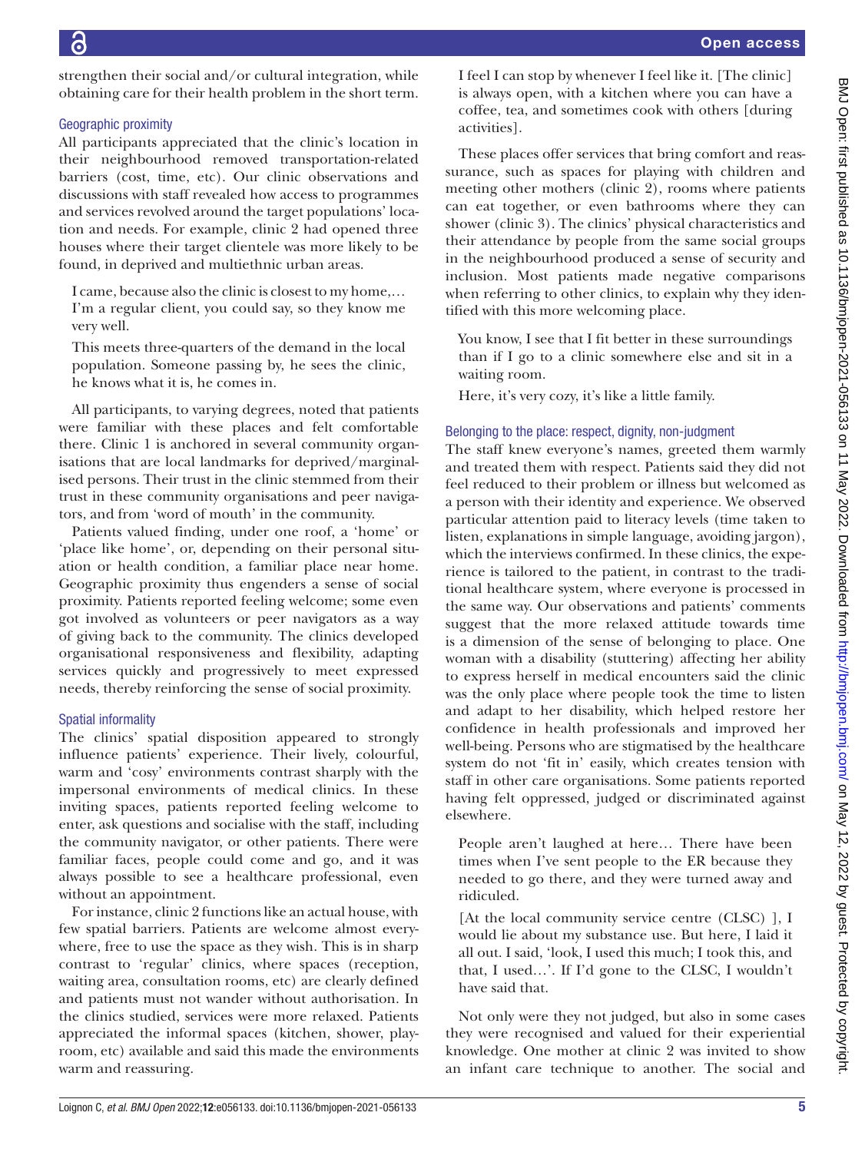strengthen their social and/or cultural integration, while obtaining care for their health problem in the short term.

## Geographic proximity

All participants appreciated that the clinic's location in their neighbourhood removed transportation-related barriers (cost, time, etc). Our clinic observations and discussions with staff revealed how access to programmes and services revolved around the target populations' location and needs. For example, clinic 2 had opened three houses where their target clientele was more likely to be found, in deprived and multiethnic urban areas.

I came, because also the clinic is closest to my home,… I'm a regular client, you could say, so they know me very well.

This meets three-quarters of the demand in the local population. Someone passing by, he sees the clinic, he knows what it is, he comes in.

All participants, to varying degrees, noted that patients were familiar with these places and felt comfortable there. Clinic 1 is anchored in several community organisations that are local landmarks for deprived/marginalised persons. Their trust in the clinic stemmed from their trust in these community organisations and peer navigators, and from 'word of mouth' in the community.

Patients valued finding, under one roof, a 'home' or 'place like home', or, depending on their personal situation or health condition, a familiar place near home. Geographic proximity thus engenders a sense of social proximity. Patients reported feeling welcome; some even got involved as volunteers or peer navigators as a way of giving back to the community. The clinics developed organisational responsiveness and flexibility, adapting services quickly and progressively to meet expressed needs, thereby reinforcing the sense of social proximity.

# Spatial informality

The clinics' spatial disposition appeared to strongly influence patients' experience. Their lively, colourful, warm and 'cosy' environments contrast sharply with the impersonal environments of medical clinics. In these inviting spaces, patients reported feeling welcome to enter, ask questions and socialise with the staff, including the community navigator, or other patients. There were familiar faces, people could come and go, and it was always possible to see a healthcare professional, even without an appointment.

For instance, clinic 2 functions like an actual house, with few spatial barriers. Patients are welcome almost everywhere, free to use the space as they wish. This is in sharp contrast to 'regular' clinics, where spaces (reception, waiting area, consultation rooms, etc) are clearly defined and patients must not wander without authorisation. In the clinics studied, services were more relaxed. Patients appreciated the informal spaces (kitchen, shower, playroom, etc) available and said this made the environments warm and reassuring.

I feel I can stop by whenever I feel like it. [The clinic] is always open, with a kitchen where you can have a coffee, tea, and sometimes cook with others [during activities].

These places offer services that bring comfort and reassurance, such as spaces for playing with children and meeting other mothers (clinic 2), rooms where patients can eat together, or even bathrooms where they can shower (clinic 3). The clinics' physical characteristics and their attendance by people from the same social groups in the neighbourhood produced a sense of security and inclusion. Most patients made negative comparisons when referring to other clinics, to explain why they identified with this more welcoming place.

You know, I see that I fit better in these surroundings than if I go to a clinic somewhere else and sit in a waiting room.

Here, it's very cozy, it's like a little family.

# Belonging to the place: respect, dignity, non-judgment

The staff knew everyone's names, greeted them warmly and treated them with respect. Patients said they did not feel reduced to their problem or illness but welcomed as a person with their identity and experience. We observed particular attention paid to literacy levels (time taken to listen, explanations in simple language, avoiding jargon), which the interviews confirmed. In these clinics, the experience is tailored to the patient, in contrast to the traditional healthcare system, where everyone is processed in the same way. Our observations and patients' comments suggest that the more relaxed attitude towards time is a dimension of the sense of belonging to place. One woman with a disability (stuttering) affecting her ability to express herself in medical encounters said the clinic was the only place where people took the time to listen and adapt to her disability, which helped restore her confidence in health professionals and improved her well-being. Persons who are stigmatised by the healthcare system do not 'fit in' easily, which creates tension with staff in other care organisations. Some patients reported having felt oppressed, judged or discriminated against elsewhere.

People aren't laughed at here… There have been times when I've sent people to the ER because they needed to go there, and they were turned away and ridiculed.

[At the local community service centre (CLSC) ], I would lie about my substance use. But here, I laid it all out. I said, 'look, I used this much; I took this, and that, I used…'. If I'd gone to the CLSC, I wouldn't have said that.

Not only were they not judged, but also in some cases they were recognised and valued for their experiential knowledge. One mother at clinic 2 was invited to show an infant care technique to another. The social and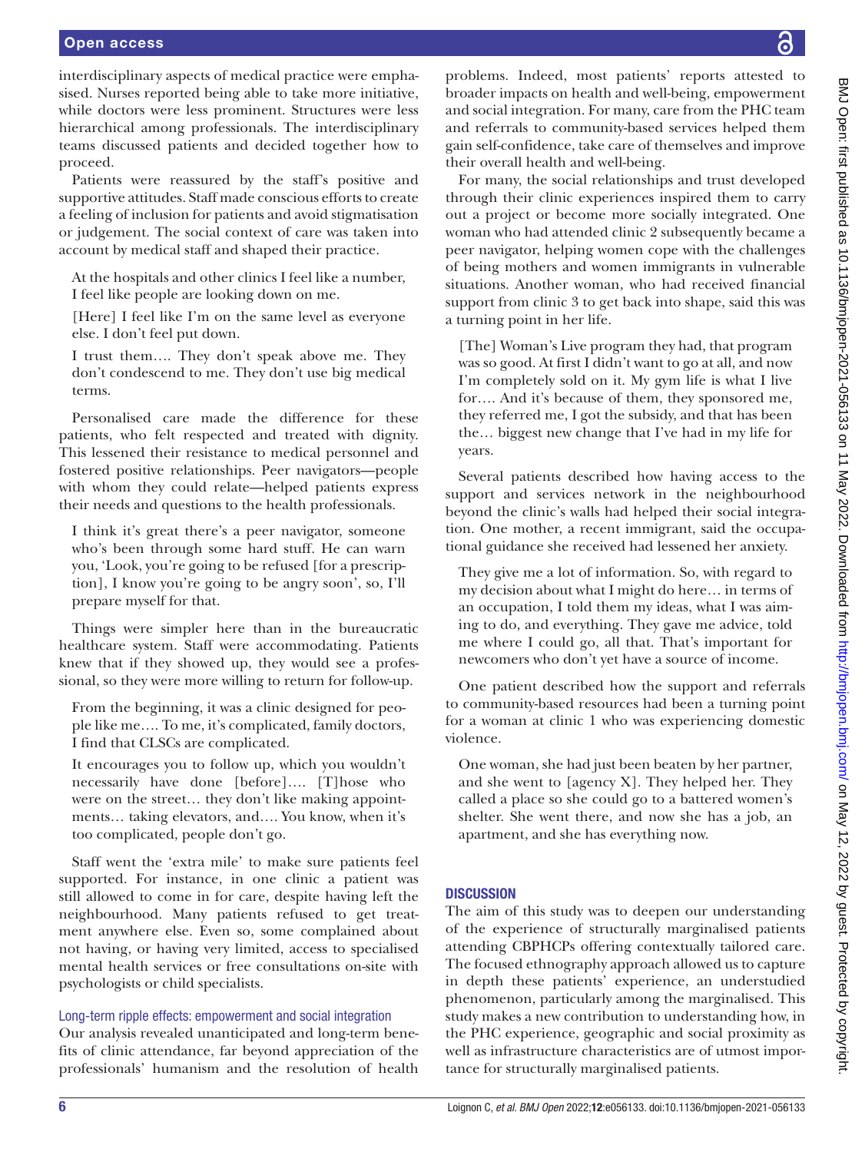interdisciplinary aspects of medical practice were emphasised. Nurses reported being able to take more initiative, while doctors were less prominent. Structures were less hierarchical among professionals. The interdisciplinary teams discussed patients and decided together how to proceed.

Patients were reassured by the staff's positive and supportive attitudes. Staff made conscious efforts to create a feeling of inclusion for patients and avoid stigmatisation or judgement. The social context of care was taken into account by medical staff and shaped their practice.

At the hospitals and other clinics I feel like a number, I feel like people are looking down on me.

[Here] I feel like I'm on the same level as everyone else. I don't feel put down.

I trust them…. They don't speak above me. They don't condescend to me. They don't use big medical terms.

Personalised care made the difference for these patients, who felt respected and treated with dignity. This lessened their resistance to medical personnel and fostered positive relationships. Peer navigators—people with whom they could relate—helped patients express their needs and questions to the health professionals.

I think it's great there's a peer navigator, someone who's been through some hard stuff. He can warn you, 'Look, you're going to be refused [for a prescription], I know you're going to be angry soon', so, I'll prepare myself for that.

Things were simpler here than in the bureaucratic healthcare system. Staff were accommodating. Patients knew that if they showed up, they would see a professional, so they were more willing to return for follow-up.

From the beginning, it was a clinic designed for people like me…. To me, it's complicated, family doctors, I find that CLSCs are complicated.

It encourages you to follow up, which you wouldn't necessarily have done [before]…. [T]hose who were on the street… they don't like making appointments… taking elevators, and…. You know, when it's too complicated, people don't go.

Staff went the 'extra mile' to make sure patients feel supported. For instance, in one clinic a patient was still allowed to come in for care, despite having left the neighbourhood. Many patients refused to get treatment anywhere else. Even so, some complained about not having, or having very limited, access to specialised mental health services or free consultations on-site with psychologists or child specialists.

### Long-term ripple effects: empowerment and social integration

Our analysis revealed unanticipated and long-term benefits of clinic attendance, far beyond appreciation of the professionals' humanism and the resolution of health

problems. Indeed, most patients' reports attested to broader impacts on health and well-being, empowerment and social integration. For many, care from the PHC team and referrals to community-based services helped them gain self-confidence, take care of themselves and improve their overall health and well-being.

For many, the social relationships and trust developed through their clinic experiences inspired them to carry out a project or become more socially integrated. One woman who had attended clinic 2 subsequently became a peer navigator, helping women cope with the challenges of being mothers and women immigrants in vulnerable situations. Another woman, who had received financial support from clinic 3 to get back into shape, said this was a turning point in her life.

[The] Woman's Live program they had, that program was so good. At first I didn't want to go at all, and now I'm completely sold on it. My gym life is what I live for…. And it's because of them, they sponsored me, they referred me, I got the subsidy, and that has been the… biggest new change that I've had in my life for years.

Several patients described how having access to the support and services network in the neighbourhood beyond the clinic's walls had helped their social integration. One mother, a recent immigrant, said the occupational guidance she received had lessened her anxiety.

They give me a lot of information. So, with regard to my decision about what I might do here… in terms of an occupation, I told them my ideas, what I was aiming to do, and everything. They gave me advice, told me where I could go, all that. That's important for newcomers who don't yet have a source of income.

One patient described how the support and referrals to community-based resources had been a turning point for a woman at clinic 1 who was experiencing domestic violence.

One woman, she had just been beaten by her partner, and she went to [agency X]. They helped her. They called a place so she could go to a battered women's shelter. She went there, and now she has a job, an apartment, and she has everything now.

## **DISCUSSION**

The aim of this study was to deepen our understanding of the experience of structurally marginalised patients attending CBPHCPs offering contextually tailored care. The focused ethnography approach allowed us to capture in depth these patients' experience, an understudied phenomenon, particularly among the marginalised. This study makes a new contribution to understanding how, in the PHC experience, geographic and social proximity as well as infrastructure characteristics are of utmost importance for structurally marginalised patients.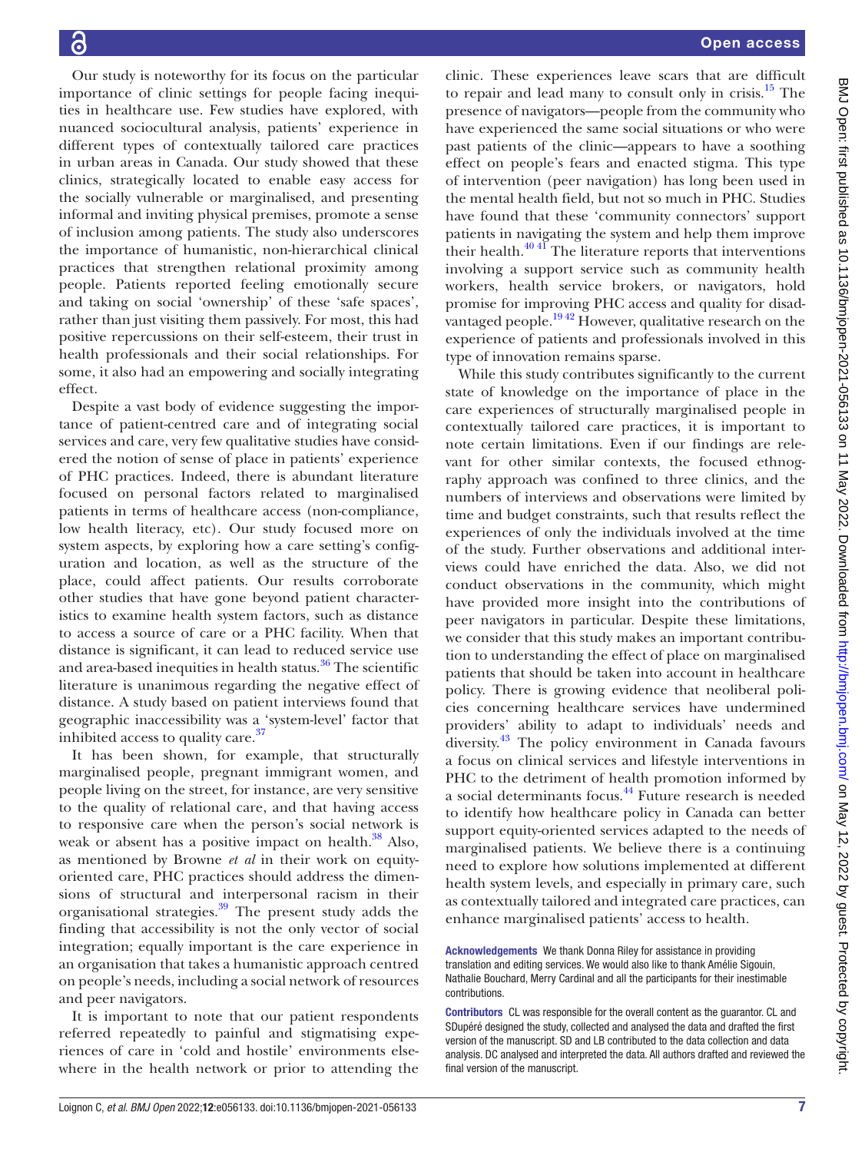Our study is noteworthy for its focus on the particular importance of clinic settings for people facing inequities in healthcare use. Few studies have explored, with nuanced sociocultural analysis, patients' experience in different types of contextually tailored care practices in urban areas in Canada. Our study showed that these clinics, strategically located to enable easy access for the socially vulnerable or marginalised, and presenting informal and inviting physical premises, promote a sense of inclusion among patients. The study also underscores the importance of humanistic, non-hierarchical clinical practices that strengthen relational proximity among people. Patients reported feeling emotionally secure and taking on social 'ownership' of these 'safe spaces', rather than just visiting them passively. For most, this had positive repercussions on their self-esteem, their trust in health professionals and their social relationships. For some, it also had an empowering and socially integrating effect.

Despite a vast body of evidence suggesting the importance of patient-centred care and of integrating social services and care, very few qualitative studies have considered the notion of sense of place in patients' experience of PHC practices. Indeed, there is abundant literature focused on personal factors related to marginalised patients in terms of healthcare access (non-compliance, low health literacy, etc). Our study focused more on system aspects, by exploring how a care setting's configuration and location, as well as the structure of the place, could affect patients. Our results corroborate other studies that have gone beyond patient characteristics to examine health system factors, such as distance to access a source of care or a PHC facility. When that distance is significant, it can lead to reduced service use and area-based inequities in health status.<sup>36</sup> The scientific literature is unanimous regarding the negative effect of distance. A study based on patient interviews found that geographic inaccessibility was a 'system-level' factor that inhibited access to quality care.<sup>37</sup>

It has been shown, for example, that structurally marginalised people, pregnant immigrant women, and people living on the street, for instance, are very sensitive to the quality of relational care, and that having access to responsive care when the person's social network is weak or absent has a positive impact on health.<sup>38</sup> Also, as mentioned by Browne *et al* in their work on equityoriented care, PHC practices should address the dimensions of structural and interpersonal racism in their organisational strategies. $39$  The present study adds the finding that accessibility is not the only vector of social integration; equally important is the care experience in an organisation that takes a humanistic approach centred on people's needs, including a social network of resources and peer navigators.

It is important to note that our patient respondents referred repeatedly to painful and stigmatising experiences of care in 'cold and hostile' environments elsewhere in the health network or prior to attending the

clinic. These experiences leave scars that are difficult to repair and lead many to consult only in crisis. $15$  The presence of navigators—people from the community who have experienced the same social situations or who were past patients of the clinic—appears to have a soothing effect on people's fears and enacted stigma. This type of intervention (peer navigation) has long been used in the mental health field, but not so much in PHC. Studies have found that these 'community connectors' support patients in navigating the system and help them improve their health. $40\frac{41}{1}$  The literature reports that interventions involving a support service such as community health workers, health service brokers, or navigators, hold promise for improving PHC access and quality for disadvantaged people.<sup>1942</sup> However, qualitative research on the experience of patients and professionals involved in this type of innovation remains sparse.

While this study contributes significantly to the current state of knowledge on the importance of place in the care experiences of structurally marginalised people in contextually tailored care practices, it is important to note certain limitations. Even if our findings are relevant for other similar contexts, the focused ethnography approach was confined to three clinics, and the numbers of interviews and observations were limited by time and budget constraints, such that results reflect the experiences of only the individuals involved at the time of the study. Further observations and additional interviews could have enriched the data. Also, we did not conduct observations in the community, which might have provided more insight into the contributions of peer navigators in particular. Despite these limitations, we consider that this study makes an important contribution to understanding the effect of place on marginalised patients that should be taken into account in healthcare policy. There is growing evidence that neoliberal policies concerning healthcare services have undermined providers' ability to adapt to individuals' needs and diversity.[43](#page-7-31) The policy environment in Canada favours a focus on clinical services and lifestyle interventions in PHC to the detriment of health promotion informed by a social determinants focus.<sup>[44](#page-7-32)</sup> Future research is needed to identify how healthcare policy in Canada can better support equity-oriented services adapted to the needs of marginalised patients. We believe there is a continuing need to explore how solutions implemented at different health system levels, and especially in primary care, such as contextually tailored and integrated care practices, can enhance marginalised patients' access to health.

Acknowledgements We thank Donna Riley for assistance in providing translation and editing services. We would also like to thank Amélie Sigouin, Nathalie Bouchard, Merry Cardinal and all the participants for their inestimable contributions.

Contributors CL was responsible for the overall content as the guarantor. CL and SDupéré designed the study, collected and analysed the data and drafted the first version of the manuscript. SD and LB contributed to the data collection and data analysis. DC analysed and interpreted the data. All authors drafted and reviewed the final version of the manuscript.